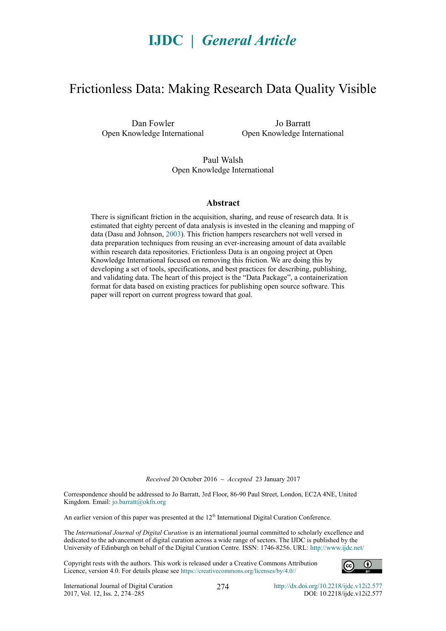# **IJDC |** *General Article*

## Frictionless Data: Making Research Data Quality Visible

Dan Fowler Open Knowledge International

Jo Barratt Open Knowledge International

Paul Walsh Open Knowledge International

#### **Abstract**

There is significant friction in the acquisition, sharing, and reuse of research data. It is estimated that eighty percent of data analysis is invested in the cleaning and mapping of data (Dasu and Johnson, [2003\)](#page-10-0). This friction hampers researchers not well versed in data preparation techniques from reusing an ever-increasing amount of data available within research data repositories. Frictionless Data is an ongoing project at Open Knowledge International focused on removing this friction. We are doing this by developing a set of tools, specifications, and best practices for describing, publishing, and validating data. The heart of this project is the "Data Package", a containerization format for data based on existing practices for publishing open source software. This paper will report on current progress toward that goal.

*Received* 20 October 2016 ~ *Accepted* 23 January 2017

Correspondence should be addressed to Jo Barratt, 3rd Floor, 86-90 Paul Street, London, EC2A 4NE, United Kingdom. Email: [jo.barratt@okfn.org](mailto:jo.barratt@okfn.org)

An earlier version of this paper was presented at the 12<sup>th</sup> International Digital Curation Conference.

The *International Journal of Digital Curation* is an international journal committed to scholarly excellence and dedicated to the advancement of digital curation across a wide range of sectors. The IJDC is published by the University of Edinburgh on behalf of the Digital Curation Centre. ISSN: 1746-8256. URL:<http://www.ijdc.net/>

Copyright rests with the authors. This work is released under a Creative Commons Attribution Licence, version 4.0. For details please see https://creativecommons.org/licenses/by/4.0[//](http://creativecommons.org/licenses/by/2.0/uk/)

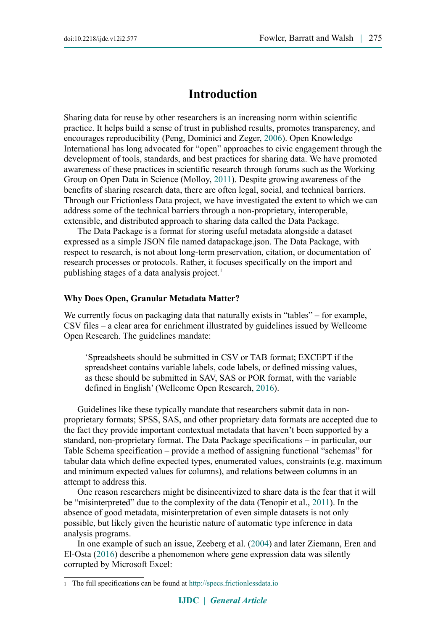## **Introduction**

Sharing data for reuse by other researchers is an increasing norm within scientific practice. It helps build a sense of trust in published results, promotes transparency, and encourages reproducibility (Peng, Dominici and Zeger, [2006\)](#page-10-4). Open Knowledge International has long advocated for "open" approaches to civic engagement through the development of tools, standards, and best practices for sharing data. We have promoted awareness of these practices in scientific research through forums such as the Working Group on Open Data in Science (Molloy, [2011\)](#page-10-3). Despite growing awareness of the benefits of sharing research data, there are often legal, social, and technical barriers. Through our Frictionless Data project, we have investigated the extent to which we can address some of the technical barriers through a non-proprietary, interoperable, extensible, and distributed approach to sharing data called the Data Package.

The Data Package is a format for storing useful metadata alongside a dataset expressed as a simple JSON file named datapackage.json. The Data Package, with respect to research, is not about long-term preservation, citation, or documentation of research processes or protocols. Rather, it focuses specifically on the import and publishing stages of a data analysis project.<sup>1</sup>

#### **Why Does Open, Granular Metadata Matter?**

We currently focus on packaging data that naturally exists in "tables" – for example, CSV files – a clear area for enrichment illustrated by guidelines issued by Wellcome Open Research. The guidelines mandate:

'Spreadsheets should be submitted in CSV or TAB format; EXCEPT if the spreadsheet contains variable labels, code labels, or defined missing values, as these should be submitted in SAV, SAS or POR format, with the variable defined in English' (Wellcome Open Research, [2016\)](#page-10-2).

Guidelines like these typically mandate that researchers submit data in nonproprietary formats; SPSS, SAS, and other proprietary data formats are accepted due to the fact they provide important contextual metadata that haven't been supported by a standard, non-proprietary format. The Data Package specifications – in particular, our Table Schema specification – provide a method of assigning functional "schemas" for tabular data which define expected types, enumerated values, constraints (e.g. maximum and minimum expected values for columns), and relations between columns in an attempt to address this.

One reason researchers might be disincentivized to share data is the fear that it will be "misinterpreted" due to the complexity of the data (Tenopir et al., [2011\)](#page-10-1). In the absence of good metadata, misinterpretation of even simple datasets is not only possible, but likely given the heuristic nature of automatic type inference in data analysis programs.

In one example of such an issue, Zeeberg et al. [\(2004\)](#page-11-1) and later Ziemann, Eren and El-Osta [\(2016\)](#page-11-0) describe a phenomenon where gene expression data was silently corrupted by Microsoft Excel:

<span id="page-1-0"></span><sup>1</sup> The full specifications can be found at [http://specs.frictionlessdata.io](http://specs.frictionlessdata.io/)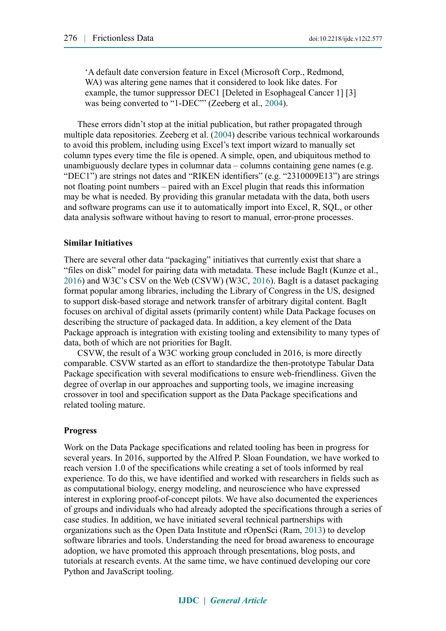'A default date conversion feature in Excel (Microsoft Corp., Redmond, WA) was altering gene names that it considered to look like dates. For example, the tumor suppressor DEC1 [Deleted in Esophageal Cancer 1] [3] was being converted to "1-DEC"" (Zeeberg et al., [2004\)](#page-11-1).

These errors didn't stop at the initial publication, but rather propagated through multiple data repositories. Zeeberg et al. [\(2004\)](#page-11-1) describe various technical workarounds to avoid this problem, including using Excel's text import wizard to manually set column types every time the file is opened. A simple, open, and ubiquitous method to unambiguously declare types in columnar data – columns containing gene names (e.g. "DEC1") are strings not dates and "RIKEN identifiers" (e.g. "2310009E13") are strings not floating point numbers – paired with an Excel plugin that reads this information may be what is needed. By providing this granular metadata with the data, both users and software programs can use it to automatically import into Excel, R, SQL, or other data analysis software without having to resort to manual, error-prone processes.

#### **Similar Initiatives**

There are several other data "packaging" initiatives that currently exist that share a "files on disk" model for pairing data with metadata. These include BagIt (Kunze et al., [2016\)](#page-10-7) and W3C's CSV on the Web (CSVW) (W3C, [2016\)](#page-10-6). BagIt is a dataset packaging format popular among libraries, including the Library of Congress in the US, designed to support disk-based storage and network transfer of arbitrary digital content. BagIt focuses on archival of digital assets (primarily content) while Data Package focuses on describing the structure of packaged data. In addition, a key element of the Data Package approach is integration with existing tooling and extensibility to many types of data, both of which are not priorities for BagIt.

CSVW, the result of a W3C working group concluded in 2016, is more directly comparable. CSVW started as an effort to standardize the then-prototype Tabular Data Package specification with several modifications to ensure web-friendliness. Given the degree of overlap in our approaches and supporting tools, we imagine increasing crossover in tool and specification support as the Data Package specifications and related tooling mature.

#### **Progress**

Work on the Data Package specifications and related tooling has been in progress for several years. In 2016, supported by the Alfred P. Sloan Foundation, we have worked to reach version 1.0 of the specifications while creating a set of tools informed by real experience. To do this, we have identified and worked with researchers in fields such as as computational biology, energy modeling, and neuroscience who have expressed interest in exploring proof-of-concept pilots. We have also documented the experiences of groups and individuals who had already adopted the specifications through a series of case studies. In addition, we have initiated several technical partnerships with organizations such as the Open Data Institute and rOpenSci (Ram, [2013\)](#page-10-5) to develop software libraries and tools. Understanding the need for broad awareness to encourage adoption, we have promoted this approach through presentations, blog posts, and tutorials at research events. At the same time, we have continued developing our core Python and JavaScript tooling.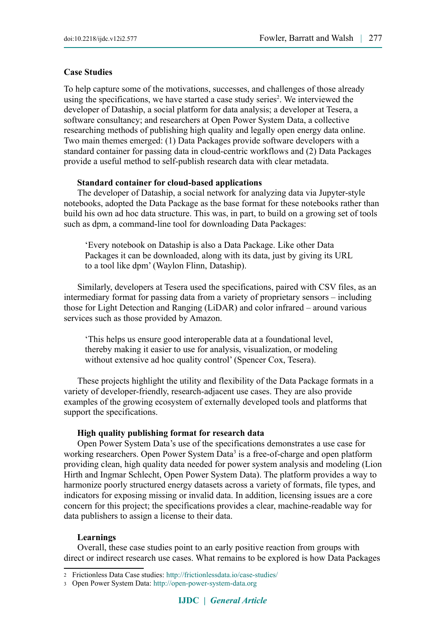#### **Case Studies**

To help capture some of the motivations, successes, and challenges of those already using the specifications, we have started a case study series<sup>2</sup>. We interviewed the developer of Dataship, a social platform for data analysis; a developer at Tesera, a software consultancy; and researchers at Open Power System Data, a collective researching methods of publishing high quality and legally open energy data online. Two main themes emerged: (1) Data Packages provide software developers with a standard container for passing data in cloud-centric workflows and (2) Data Packages provide a useful method to self-publish research data with clear metadata.

#### **Standard container for cloud-based applications**

The developer of Dataship, a social network for analyzing data via Jupyter-style notebooks, adopted the Data Package as the base format for these notebooks rather than build his own ad hoc data structure. This was, in part, to build on a growing set of tools such as dpm, a command-line tool for downloading Data Packages:

'Every notebook on Dataship is also a Data Package. Like other Data Packages it can be downloaded, along with its data, just by giving its URL to a tool like dpm' (Waylon Flinn, Dataship).

Similarly, developers at Tesera used the specifications, paired with CSV files, as an intermediary format for passing data from a variety of proprietary sensors – including those for Light Detection and Ranging (LiDAR) and color infrared – around various services such as those provided by Amazon.

'This helps us ensure good interoperable data at a foundational level, thereby making it easier to use for analysis, visualization, or modeling without extensive ad hoc quality control' (Spencer Cox, Tesera).

These projects highlight the utility and flexibility of the Data Package formats in a variety of developer-friendly, research-adjacent use cases. They are also provide examples of the growing ecosystem of externally developed tools and platforms that support the specifications.

#### **High quality publishing format for research data**

Open Power System Data's use of the specifications demonstrates a use case for working researchers. Open Power System Data<sup>3</sup> is a free-of-charge and open platform providing clean, high quality data needed for power system analysis and modeling (Lion Hirth and Ingmar Schlecht, Open Power System Data). The platform provides a way to harmonize poorly structured energy datasets across a variety of formats, file types, and indicators for exposing missing or invalid data. In addition, licensing issues are a core concern for this project; the specifications provides a clear, machine-readable way for data publishers to assign a license to their data.

#### **Learnings**

Overall, these case studies point to an early positive reaction from groups with direct or indirect research use cases. What remains to be explored is how Data Packages

<span id="page-3-0"></span><sup>2</sup> Frictionless Data Case studies:<http://frictionlessdata.io/case-studies/>

<span id="page-3-1"></span><sup>3</sup> Open Power System Data: [http://open-power-system-data.org](http://open-power-system-data.org/)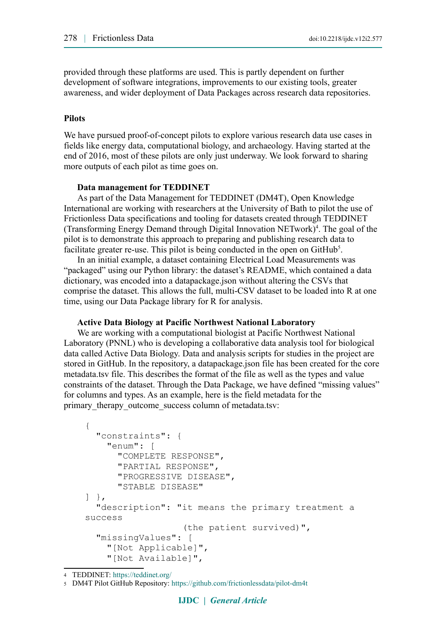provided through these platforms are used. This is partly dependent on further development of software integrations, improvements to our existing tools, greater awareness, and wider deployment of Data Packages across research data repositories.

#### **Pilots**

We have pursued proof-of-concept pilots to explore various research data use cases in fields like energy data, computational biology, and archaeology. Having started at the end of 2016, most of these pilots are only just underway. We look forward to sharing more outputs of each pilot as time goes on.

#### **Data management for TEDDINET**

As part of the Data Management for TEDDINET (DM4T), Open Knowledge International are working with researchers at the University of Bath to pilot the use of Frictionless Data specifications and tooling for datasets created through TEDDINET (Transforming Energy Demand through Digital Innovation NETwork)<sup>4</sup>. The goal of the pilot is to demonstrate this approach to preparing and publishing research data to facilitate greater re-use. This pilot is being conducted in the open on  $G$ it $H$ ub<sup>5</sup>.

In an initial example, a dataset containing Electrical Load Measurements was "packaged" using our Python library: the dataset's README, which contained a data dictionary, was encoded into a datapackage.json without altering the CSVs that comprise the dataset. This allows the full, multi-CSV dataset to be loaded into R at one time, using our Data Package library for R for analysis.

#### **Active Data Biology at Pacific Northwest National Laboratory**

We are working with a computational biologist at Pacific Northwest National Laboratory (PNNL) who is developing a collaborative data analysis tool for biological data called Active Data Biology. Data and analysis scripts for studies in the project are stored in GitHub. In the repository, a datapackage.json file has been created for the core metadata.tsv file. This describes the format of the file as well as the types and value constraints of the dataset. Through the Data Package, we have defined "missing values" for columns and types. As an example, here is the field metadata for the primary therapy outcome success column of metadata.tsv:

```
{
   "constraints": {
     "enum": [
       "COMPLETE RESPONSE",
       "PARTIAL RESPONSE",
       "PROGRESSIVE DISEASE",
       "STABLE DISEASE"
],
   "description": "it means the primary treatment a 
success
                    (the patient survived)",
   "missingValues": [
     "[Not Applicable]",
     "[Not Available]",
```

```
4 TEDDINET: https://teddinet.org/
```

```
5 DM4T Pilot GitHub Repository: https://github.com/frictionlessdata/pilot-dm4t
```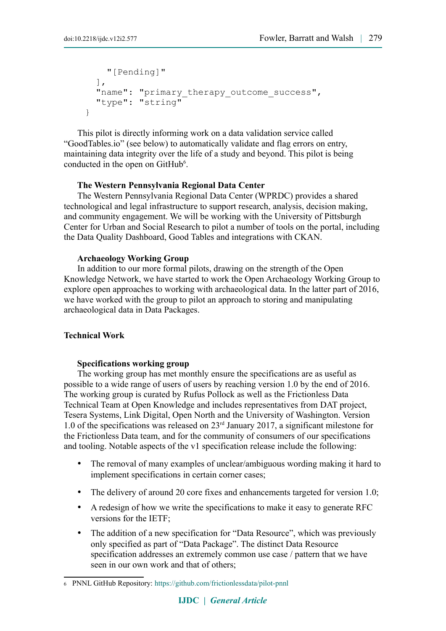```
 "[Pending]"
  \frac{1}{\sqrt{2}}"name": "primary_therapy outcome success",
   "type": "string"
}
```
This pilot is directly informing work on a data validation service called "GoodTables.io" (see below) to automatically validate and flag errors on entry, maintaining data integrity over the life of a study and beyond. This pilot is being conducted in the open on GitHub<sup>6</sup>.

#### **The Western Pennsylvania Regional Data Center**

The Western Pennsylvania Regional Data Center (WPRDC) provides a shared technological and legal infrastructure to support research, analysis, decision making, and community engagement. We will be working with the University of Pittsburgh Center for Urban and Social Research to pilot a number of tools on the portal, including the Data Quality Dashboard, Good Tables and integrations with CKAN.

#### **Archaeology Working Group**

In addition to our more formal pilots, drawing on the strength of the Open Knowledge Network, we have started to work the Open Archaeology Working Group to explore open approaches to working with archaeological data. In the latter part of 2016, we have worked with the group to pilot an approach to storing and manipulating archaeological data in Data Packages.

#### **Technical Work**

#### **Specifications working group**

The working group has met monthly ensure the specifications are as useful as possible to a wide range of users of users by reaching version 1.0 by the end of 2016. The working group is curated by Rufus Pollock as well as the Frictionless Data Technical Team at Open Knowledge and includes representatives from DAT project, Tesera Systems, Link Digital, Open North and the University of Washington. Version 1.0 of the specifications was released on 23rd January 2017, a significant milestone for the Frictionless Data team, and for the community of consumers of our specifications and tooling. Notable aspects of the v1 specification release include the following:

- The removal of many examples of unclear/ambiguous wording making it hard to implement specifications in certain corner cases;
- The delivery of around 20 core fixes and enhancements targeted for version 1.0;
- A redesign of how we write the specifications to make it easy to generate RFC versions for the IETF;
- The addition of a new specification for "Data Resource", which was previously only specified as part of "Data Package". The distinct Data Resource specification addresses an extremely common use case / pattern that we have seen in our own work and that of others;

<span id="page-5-0"></span><sup>6</sup> PNNL GitHub Repository:<https://github.com/frictionlessdata/pilot-pnnl>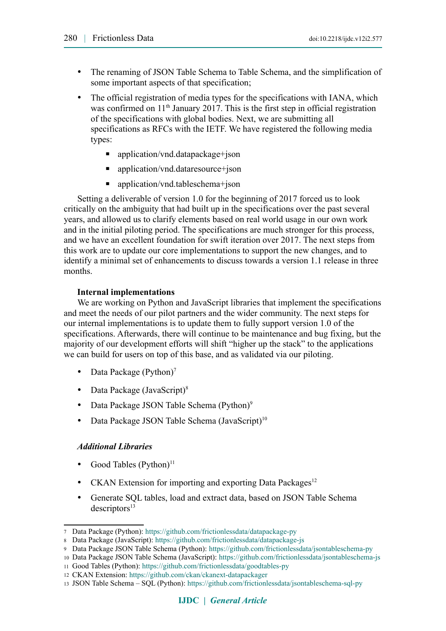- The renaming of JSON Table Schema to Table Schema, and the simplification of some important aspects of that specification;
- The official registration of media types for the specifications with IANA, which was confirmed on  $11<sup>th</sup>$  January 2017. This is the first step in official registration of the specifications with global bodies. Next, we are submitting all specifications as RFCs with the IETF. We have registered the following media types:
	- application/vnd.datapackage+json
	- application/vnd.dataresource+json
	- application/vnd.tableschema+json

Setting a deliverable of version 1.0 for the beginning of 2017 forced us to look critically on the ambiguity that had built up in the specifications over the past several years, and allowed us to clarify elements based on real world usage in our own work and in the initial piloting period. The specifications are much stronger for this process, and we have an excellent foundation for swift iteration over 2017. The next steps from this work are to update our core implementations to support the new changes, and to identify a minimal set of enhancements to discuss towards a version 1.1 release in three months.

#### **Internal implementations**

We are working on Python and JavaScript libraries that implement the specifications and meet the needs of our pilot partners and the wider community. The next steps for our internal implementations is to update them to fully support version 1.0 of the specifications. Afterwards, there will continue to be maintenance and bug fixing, but the majority of our development efforts will shift "higher up the stack" to the applications we can build for users on top of this base, and as validated via our piloting.

- Data Package (Python)<sup>7</sup>
- Data Package (JavaScript)<sup>8</sup>
- Data Package JSON Table Schema (Python)<sup>9</sup>
- Data Package JSON Table Schema (JavaScript)<sup>10</sup>

#### *Additional Libraries*

- Good Tables (Python) $<sup>11</sup>$ </sup>
- CKAN Extension for importing and exporting Data Packages<sup>12</sup>
- Generate SQL tables, load and extract data, based on JSON Table Schema  $descriptions<sup>13</sup>$

<span id="page-6-0"></span><sup>7</sup> Data Package (Python):<https://github.com/frictionlessdata/datapackage-py>

<span id="page-6-1"></span><sup>8</sup> Data Package (JavaScript): <https://github.com/frictionlessdata/datapackage-js>

<span id="page-6-2"></span><sup>9</sup> Data Package JSON Table Schema (Python):<https://github.com/frictionlessdata/jsontableschema-py>

<span id="page-6-3"></span><sup>10</sup> Data Package JSON Table Schema (JavaScript):<https://github.com/frictionlessdata/jsontableschema-js>

<span id="page-6-4"></span><sup>11</sup> Good Tables (Python):<https://github.com/frictionlessdata/goodtables-py>

<span id="page-6-5"></span><sup>12</sup> CKAN Extension:<https://github.com/ckan/ckanext-datapackager>

<span id="page-6-6"></span><sup>13</sup> JSON Table Schema – SQL (Python):<https://github.com/frictionlessdata/jsontableschema-sql-py>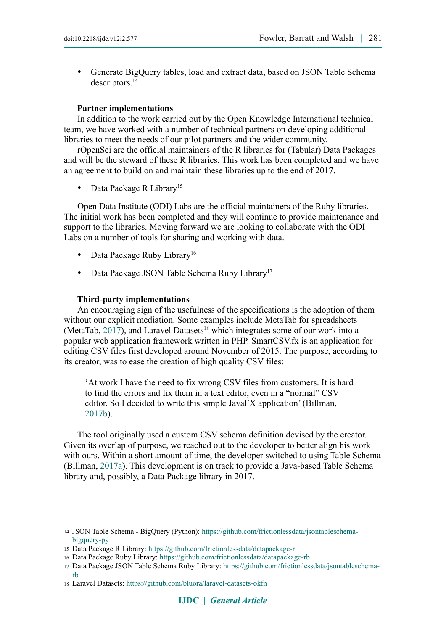Generate BigQuery tables, load and extract data, based on JSON Table Schema descriptors.<sup>14</sup>

#### **Partner implementations**

In addition to the work carried out by the Open Knowledge International technical team, we have worked with a number of technical partners on developing additional libraries to meet the needs of our pilot partners and the wider community.

rOpenSci are the official maintainers of the R libraries for (Tabular) Data Packages and will be the steward of these R libraries. This work has been completed and we have an agreement to build on and maintain these libraries up to the end of 2017.

Data Package R Library<sup>15</sup>

Open Data Institute (ODI) Labs are the official maintainers of the Ruby libraries. The initial work has been completed and they will continue to provide maintenance and support to the libraries. Moving forward we are looking to collaborate with the ODI Labs on a number of tools for sharing and working with data.

- Data Package Ruby Library<sup>16</sup>
- Data Package JSON Table Schema Ruby Library<sup>17</sup>

#### **Third-party implementations**

An encouraging sign of the usefulness of the specifications is the adoption of them without our explicit mediation. Some examples include MetaTab for spreadsheets (MetaTab,  $2017$ ), and Laravel Datasets<sup>18</sup> which integrates some of our work into a popular web application framework written in PHP. SmartCSV.fx is an application for editing CSV files first developed around November of 2015. The purpose, according to its creator, was to ease the creation of high quality CSV files:

'At work I have the need to fix wrong CSV files from customers. It is hard to find the errors and fix them in a text editor, even in a "normal" CSV editor. So I decided to write this simple JavaFX application' (Billman, [2017b\)](#page-10-9).

The tool originally used a custom CSV schema definition devised by the creator. Given its overlap of purpose, we reached out to the developer to better align his work with ours. Within a short amount of time, the developer switched to using Table Schema (Billman, [2017a\)](#page-10-8). This development is on track to provide a Java-based Table Schema library and, possibly, a Data Package library in 2017.

<span id="page-7-0"></span><sup>14</sup> JSON Table Schema - BigQuery (Python): [https://github.com/frictionlessdata/jsontableschema](https://github.com/frictionlessdata/jsontableschema-bigquery-py)[bigquery-py](https://github.com/frictionlessdata/jsontableschema-bigquery-py)

<span id="page-7-1"></span><sup>15</sup> Data Package R Library:<https://github.com/frictionlessdata/datapackage-r>

<span id="page-7-2"></span><sup>16</sup> Data Package Ruby Library:<https://github.com/frictionlessdata/datapackage-rb>

<span id="page-7-3"></span><sup>17</sup> Data Package JSON Table Schema Ruby Library: [https://github.com/frictionlessdata/jsontableschema](https://github.com/frictionlessdata/jsontableschema-rb)[rb](https://github.com/frictionlessdata/jsontableschema-rb)

<span id="page-7-4"></span><sup>18</sup> Laravel Datasets:<https://github.com/bluora/laravel-datasets-okfn>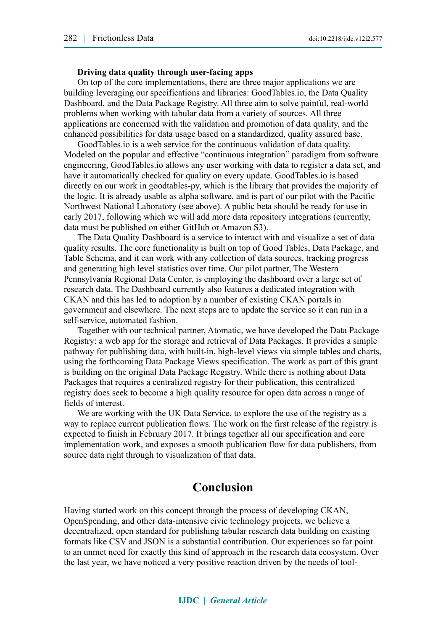#### **Driving data quality through user-facing apps**

On top of the core implementations, there are three major applications we are building leveraging our specifications and libraries: GoodTables.io, the Data Quality Dashboard, and the Data Package Registry. All three aim to solve painful, real-world problems when working with tabular data from a variety of sources. All three applications are concerned with the validation and promotion of data quality, and the enhanced possibilities for data usage based on a standardized, quality assured base.

GoodTables.io is a web service for the continuous validation of data quality. Modeled on the popular and effective "continuous integration" paradigm from software engineering, GoodTables.io allows any user working with data to register a data set, and have it automatically checked for quality on every update. GoodTables.io is based directly on our work in goodtables-py, which is the library that provides the majority of the logic. It is already usable as alpha software, and is part of our pilot with the Pacific Northwest National Laboratory (see above). A public beta should be ready for use in early 2017, following which we will add more data repository integrations (currently, data must be published on either GitHub or Amazon S3).

The Data Quality Dashboard is a service to interact with and visualize a set of data quality results. The core functionality is built on top of Good Tables, Data Package, and Table Schema, and it can work with any collection of data sources, tracking progress and generating high level statistics over time. Our pilot partner, The Western Pennsylvania Regional Data Center, is employing the dashboard over a large set of research data. The Dashboard currently also features a dedicated integration with CKAN and this has led to adoption by a number of existing CKAN portals in government and elsewhere. The next steps are to update the service so it can run in a self-service, automated fashion.

Together with our technical partner, Atomatic, we have developed the Data Package Registry: a web app for the storage and retrieval of Data Packages. It provides a simple pathway for publishing data, with built-in, high-level views via simple tables and charts, using the forthcoming Data Package Views specification. The work as part of this grant is building on the original Data Package Registry. While there is nothing about Data Packages that requires a centralized registry for their publication, this centralized registry does seek to become a high quality resource for open data across a range of fields of interest.

We are working with the UK Data Service, to explore the use of the registry as a way to replace current publication flows. The work on the first release of the registry is expected to finish in February 2017. It brings together all our specification and core implementation work, and exposes a smooth publication flow for data publishers, from source data right through to visualization of that data.

## **Conclusion**

Having started work on this concept through the process of developing CKAN, OpenSpending, and other data-intensive civic technology projects, we believe a decentralized, open standard for publishing tabular research data building on existing formats like CSV and JSON is a substantial contribution. Our experiences so far point to an unmet need for exactly this kind of approach in the research data ecosystem. Over the last year, we have noticed a very positive reaction driven by the needs of tool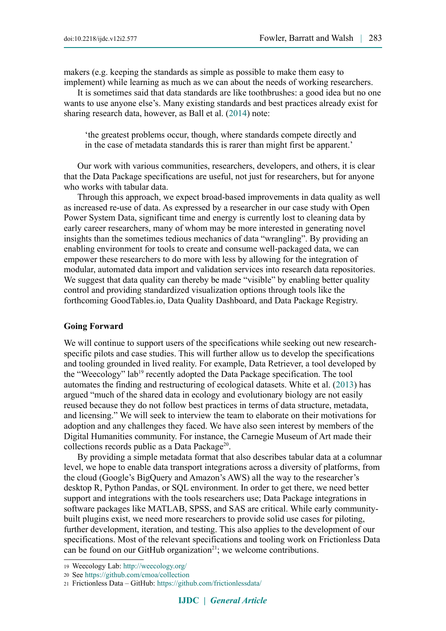makers (e.g. keeping the standards as simple as possible to make them easy to implement) while learning as much as we can about the needs of working researchers.

It is sometimes said that data standards are like toothbrushes: a good idea but no one wants to use anyone else's. Many existing standards and best practices already exist for sharing research data, however, as Ball et al. [\(2014\)](#page-10-11) note:

'the greatest problems occur, though, where standards compete directly and in the case of metadata standards this is rarer than might first be apparent.'

Our work with various communities, researchers, developers, and others, it is clear that the Data Package specifications are useful, not just for researchers, but for anyone who works with tabular data.

Through this approach, we expect broad-based improvements in data quality as well as increased re-use of data. As expressed by a researcher in our case study with Open Power System Data, significant time and energy is currently lost to cleaning data by early career researchers, many of whom may be more interested in generating novel insights than the sometimes tedious mechanics of data "wrangling". By providing an enabling environment for tools to create and consume well-packaged data, we can empower these researchers to do more with less by allowing for the integration of modular, automated data import and validation services into research data repositories. We suggest that data quality can thereby be made "visible" by enabling better quality control and providing standardized visualization options through tools like the forthcoming GoodTables.io, Data Quality Dashboard, and Data Package Registry.

#### **Going Forward**

We will continue to support users of the specifications while seeking out new researchspecific pilots and case studies. This will further allow us to develop the specifications and tooling grounded in lived reality. For example, Data Retriever, a tool developed by the "Weecology" la[b19](#page-9-0) recently adopted the Data Package specification. The tool automates the finding and restructuring of ecological datasets. White et al. [\(2013\)](#page-11-2) has argued "much of the shared data in ecology and evolutionary biology are not easily reused because they do not follow best practices in terms of data structure, metadata, and licensing." We will seek to interview the team to elaborate on their motivations for adoption and any challenges they faced. We have also seen interest by members of the Digital Humanities community. For instance, the Carnegie Museum of Art made their collections records public as a Data Package<sup>20</sup>.

By providing a simple metadata format that also describes tabular data at a columnar level, we hope to enable data transport integrations across a diversity of platforms, from the cloud (Google's BigQuery and Amazon's AWS) all the way to the researcher's desktop R, Python Pandas, or SQL environment. In order to get there, we need better support and integrations with the tools researchers use; Data Package integrations in software packages like MATLAB, SPSS, and SAS are critical. While early communitybuilt plugins exist, we need more researchers to provide solid use cases for piloting, further development, iteration, and testing. This also applies to the development of our specifications. Most of the relevant specifications and tooling work on Frictionless Data can be found on our GitHub organization $2<sup>1</sup>$ ; we welcome contributions.

<span id="page-9-0"></span><sup>19</sup> Weecology Lab:<http://weecology.org/>

<span id="page-9-1"></span><sup>20</sup> See<https://github.com/cmoa/collection>

<span id="page-9-2"></span><sup>21</sup> Frictionless Data – GitHub:<https://github.com/frictionlessdata/>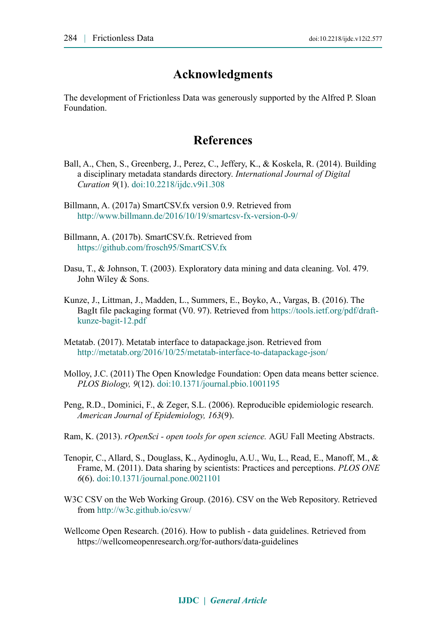## **Acknowledgments**

The development of Frictionless Data was generously supported by the Alfred P. Sloan Foundation.

## **References**

- <span id="page-10-11"></span>Ball, A., Chen, S., Greenberg, J., Perez, C., Jeffery, K., & Koskela, R. (2014). Building a disciplinary metadata standards directory. *International Journal of Digital Curation 9*(1). [doi:10.2218/ijdc.v9i1.308](http://dx.doi.org/10.2218/ijdc.v9i1.308)
- <span id="page-10-8"></span>Billmann, A. (2017a) SmartCSV.fx version 0.9. Retrieved from <http://www.billmann.de/2016/10/19/smartcsv-fx-version-0-9/>
- <span id="page-10-9"></span>Billmann, A. (2017b). SmartCSV.fx. Retrieved from <https://github.com/frosch95/SmartCSV.fx>
- <span id="page-10-0"></span>Dasu, T., & Johnson, T. (2003). Exploratory data mining and data cleaning. Vol. 479. John Wiley & Sons.
- <span id="page-10-7"></span>Kunze, J., Littman, J., Madden, L., Summers, E., Boyko, A., Vargas, B. (2016). The BagIt file packaging format (V0. 97). Retrieved from [https://tools.ietf.org/pdf/draft](https://tools.ietf.org/pdf/draft-kunze-bagit-12.pdf)[kunze-bagit-12.pdf](https://tools.ietf.org/pdf/draft-kunze-bagit-12.pdf)
- <span id="page-10-10"></span>Metatab. (2017). Metatab interface to datapackage.json. Retrieved from <http://metatab.org/2016/10/25/metatab-interface-to-datapackage-json/>
- <span id="page-10-3"></span>Molloy, J.C. (2011) The Open Knowledge Foundation: Open data means better science. *PLOS Biology, 9*(12). [doi:10.1371/journal.pbio.1001195](http://dx.doi.org/10.1371/journal.pbio.1001195)
- <span id="page-10-4"></span>Peng, R.D., Dominici, F., & Zeger, S.L. (2006). Reproducible epidemiologic research. *American Journal of Epidemiology, 163*(9).
- <span id="page-10-5"></span>Ram, K. (2013). *rOpenSci - open tools for open science.* AGU Fall Meeting Abstracts.
- <span id="page-10-1"></span>Tenopir, C., Allard, S., Douglass, K., Aydinoglu, A.U., Wu, L., Read, E., Manoff, M., & Frame, M. (2011). Data sharing by scientists: Practices and perceptions. *PLOS ONE 6*(6). [doi:10.1371/journal.pone.0021101](http://dx.doi.org/10.1371/journal.pone.0021101)
- <span id="page-10-6"></span>W3C CSV on the Web Working Group. (2016). CSV on the Web Repository. Retrieved from <http://w3c.github.io/csvw/>
- <span id="page-10-2"></span>Wellcome Open Research. (2016). How to publish - data guidelines. Retrieved from <https://wellcomeopenresearch.org/for-authors/data-guidelines>